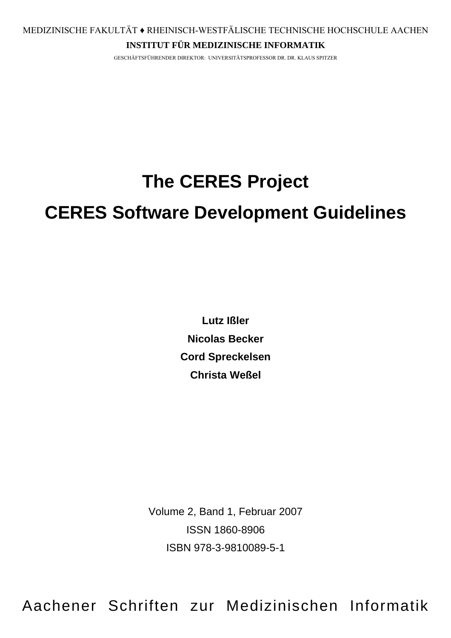## **INSTITUT FÜR MEDIZINISCHE INFORMATIK**

GESCHÄFTSFÜHRENDER DIREKTOR: UNIVERSITÄTSPROFESSOR DR. DR. KLAUS SPITZER

# **The CERES Project**

# **CERES Software Development Guidelines**

**Lutz Ißler Nicolas Becker Cord Spreckelsen Christa Weßel** 

Volume 2, Band 1, Februar 2007 ISSN 1860-8906 ISBN 978-3-9810089-5-1

Aachener Schriften zur Medizinischen Informatik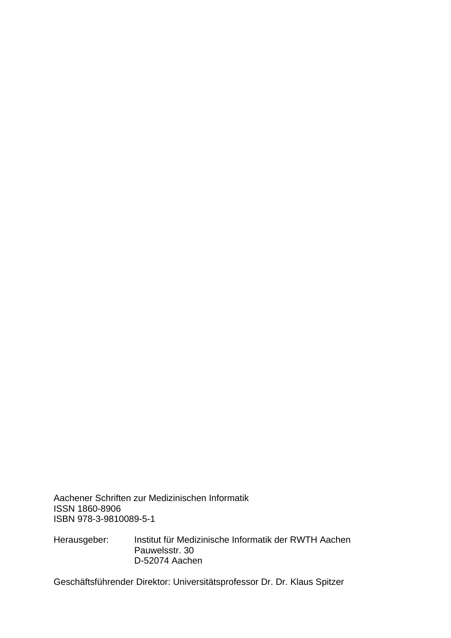Aachener Schriften zur Medizinischen Informatik ISSN 1860-8906 ISBN 978-3-9810089-5-1

Herausgeber: Institut für Medizinische Informatik der RWTH Aachen Pauwelsstr. 30 D-52074 Aachen

Geschäftsführender Direktor: Universitätsprofessor Dr. Dr. Klaus Spitzer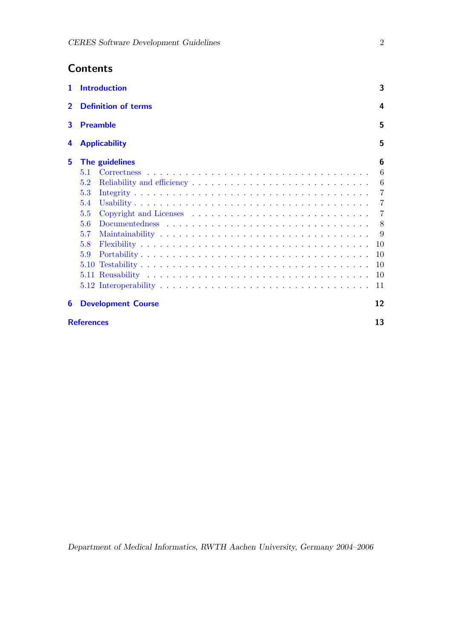## **Contents**

|                | 1 Introduction                                          | 3              |  |  |
|----------------|---------------------------------------------------------|----------------|--|--|
| $\overline{2}$ | <b>Definition of terms</b><br>4<br>5<br><b>Preamble</b> |                |  |  |
| 3              |                                                         |                |  |  |
| 4              | 5<br><b>Applicability</b>                               |                |  |  |
| 5              | The guidelines                                          | 6              |  |  |
|                | 5.1                                                     | 6              |  |  |
|                | 5.2                                                     | $-6$           |  |  |
|                | 5.3                                                     |                |  |  |
|                | 5.4                                                     |                |  |  |
|                | 5.5                                                     | $\overline{7}$ |  |  |
|                | 5.6                                                     |                |  |  |
|                | 5.7                                                     | -9             |  |  |
|                | 5.8                                                     | 10             |  |  |
|                | 5.9                                                     | 10             |  |  |
|                |                                                         | <sup>10</sup>  |  |  |
|                |                                                         | 10             |  |  |
|                |                                                         | 11             |  |  |
| 6              | <b>Development Course</b>                               | 12             |  |  |
|                | 13<br><b>References</b>                                 |                |  |  |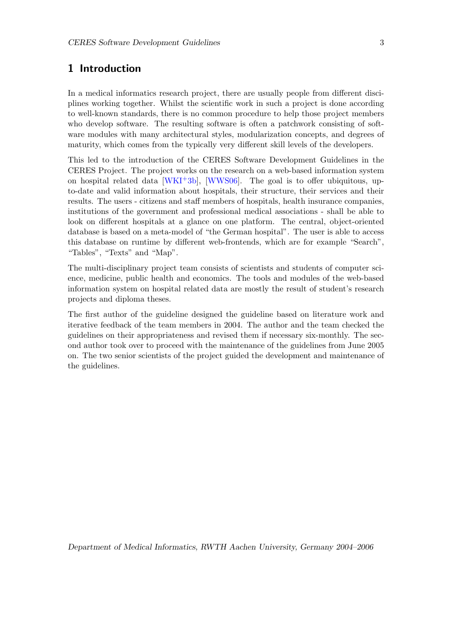## <span id="page-3-1"></span><span id="page-3-0"></span>1 Introduction

In a medical informatics research project, there are usually people from different disciplines working together. Whilst the scientific work in such a project is done according to well-known standards, there is no common procedure to help those project members who develop software. The resulting software is often a patchwork consisting of software modules with many architectural styles, modularization concepts, and degrees of maturity, which comes from the typically very different skill levels of the developers.

This led to the introduction of the CERES Software Development Guidelines in the CERES Project. The project works on the research on a web-based information system on hospital related data  $[WKI<sup>+</sup>3b]$  $[WKI<sup>+</sup>3b]$ ,  $[WWS06]$ . The goal is to offer ubiquitous, upto-date and valid information about hospitals, their structure, their services and their results. The users - citizens and staff members of hospitals, health insurance companies, institutions of the government and professional medical associations - shall be able to look on different hospitals at a glance on one platform. The central, object-oriented database is based on a meta-model of "the German hospital". The user is able to access this database on runtime by different web-frontends, which are for example "Search", "Tables", "Texts" and "Map".

The multi-disciplinary project team consists of scientists and students of computer science, medicine, public health and economics. The tools and modules of the web-based information system on hospital related data are mostly the result of student's research projects and diploma theses.

The first author of the guideline designed the guideline based on literature work and iterative feedback of the team members in 2004. The author and the team checked the guidelines on their appropriateness and revised them if necessary six-monthly. The second author took over to proceed with the maintenance of the guidelines from June 2005 on. The two senior scientists of the project guided the development and maintenance of the guidelines.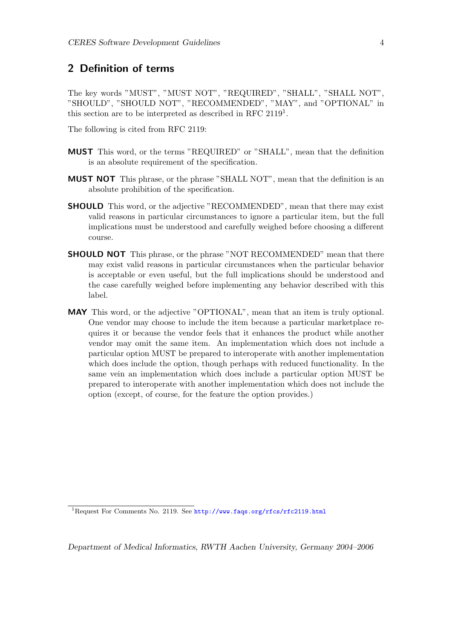## <span id="page-4-0"></span>2 Definition of terms

The key words "MUST", "MUST NOT", "REQUIRED", "SHALL", "SHALL NOT", "SHOULD", "SHOULD NOT", "RECOMMENDED", "MAY", and "OPTIONAL" in this section are to be interpreted as described in RFC  $2119<sup>1</sup>$  $2119<sup>1</sup>$  $2119<sup>1</sup>$ .

The following is cited from RFC 2119:

- MUST This word, or the terms "REQUIRED" or "SHALL", mean that the definition is an absolute requirement of the specification.
- MUST NOT This phrase, or the phrase "SHALL NOT", mean that the definition is an absolute prohibition of the specification.
- **SHOULD** This word, or the adjective "RECOMMENDED", mean that there may exist valid reasons in particular circumstances to ignore a particular item, but the full implications must be understood and carefully weighed before choosing a different course.
- **SHOULD NOT** This phrase, or the phrase "NOT RECOMMENDED" mean that there may exist valid reasons in particular circumstances when the particular behavior is acceptable or even useful, but the full implications should be understood and the case carefully weighed before implementing any behavior described with this label.
- MAY This word, or the adjective "OPTIONAL", mean that an item is truly optional. One vendor may choose to include the item because a particular marketplace requires it or because the vendor feels that it enhances the product while another vendor may omit the same item. An implementation which does not include a particular option MUST be prepared to interoperate with another implementation which does include the option, though perhaps with reduced functionality. In the same vein an implementation which does include a particular option MUST be prepared to interoperate with another implementation which does not include the option (except, of course, for the feature the option provides.)

<span id="page-4-1"></span><sup>1</sup>Request For Comments No. 2119. See <http://www.faqs.org/rfcs/rfc2119.html>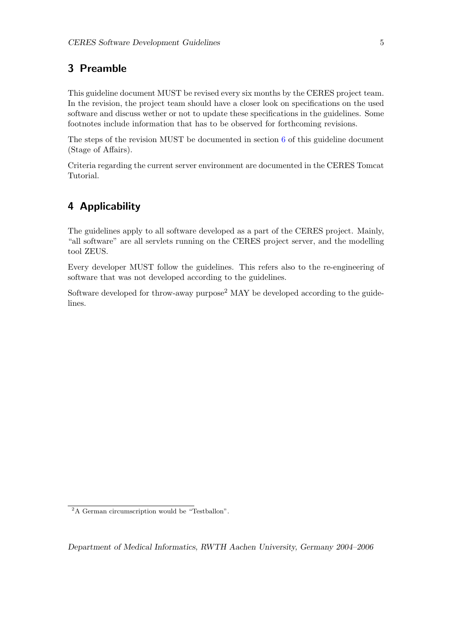## <span id="page-5-0"></span>3 Preamble

This guideline document MUST be revised every six months by the CERES project team. In the revision, the project team should have a closer look on specifications on the used software and discuss wether or not to update these specifications in the guidelines. Some footnotes include information that has to be observed for forthcoming revisions.

The steps of the revision MUST be documented in section [6](#page-12-0) of this guideline document (Stage of Affairs).

Criteria regarding the current server environment are documented in the CERES Tomcat Tutorial.

## <span id="page-5-1"></span>4 Applicability

The guidelines apply to all software developed as a part of the CERES project. Mainly, "all software" are all servlets running on the CERES project server, and the modelling tool ZEUS.

Every developer MUST follow the guidelines. This refers also to the re-engineering of software that was not developed according to the guidelines.

Software developed for throw-away purpose<sup>[2](#page-5-2)</sup> MAY be developed according to the guidelines.

<span id="page-5-2"></span><sup>&</sup>lt;sup>2</sup>A German circumscription would be "Testballon".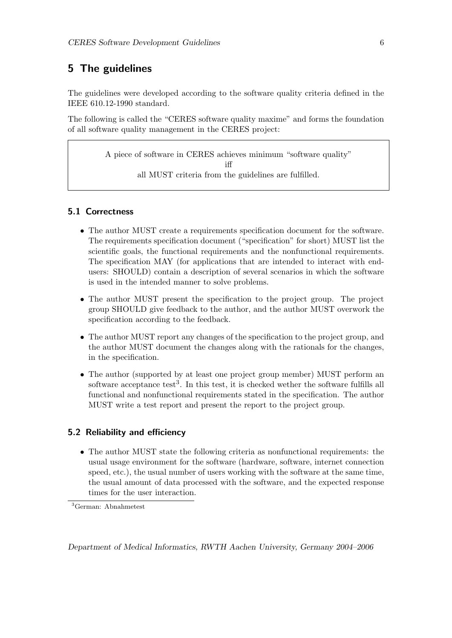## <span id="page-6-0"></span>5 The guidelines

The guidelines were developed according to the software quality criteria defined in the IEEE 610.12-1990 standard.

The following is called the "CERES software quality maxime" and forms the foundation of all software quality management in the CERES project:

> A piece of software in CERES achieves minimum "software quality" iff all MUST criteria from the guidelines are fulfilled.

#### <span id="page-6-1"></span>5.1 Correctness

- The author MUST create a requirements specification document for the software. The requirements specification document ("specification" for short) MUST list the scientific goals, the functional requirements and the nonfunctional requirements. The specification MAY (for applications that are intended to interact with endusers: SHOULD) contain a description of several scenarios in which the software is used in the intended manner to solve problems.
- The author MUST present the specification to the project group. The project group SHOULD give feedback to the author, and the author MUST overwork the specification according to the feedback.
- The author MUST report any changes of the specification to the project group, and the author MUST document the changes along with the rationals for the changes, in the specification.
- The author (supported by at least one project group member) MUST perform an software acceptance test<sup>[3](#page-6-3)</sup>. In this test, it is checked wether the software fulfills all functional and nonfunctional requirements stated in the specification. The author MUST write a test report and present the report to the project group.

#### <span id="page-6-2"></span>5.2 Reliability and efficiency

• The author MUST state the following criteria as nonfunctional requirements: the usual usage environment for the software (hardware, software, internet connection speed, etc.), the usual number of users working with the software at the same time, the usual amount of data processed with the software, and the expected response times for the user interaction.

<span id="page-6-3"></span><sup>3</sup>German: Abnahmetest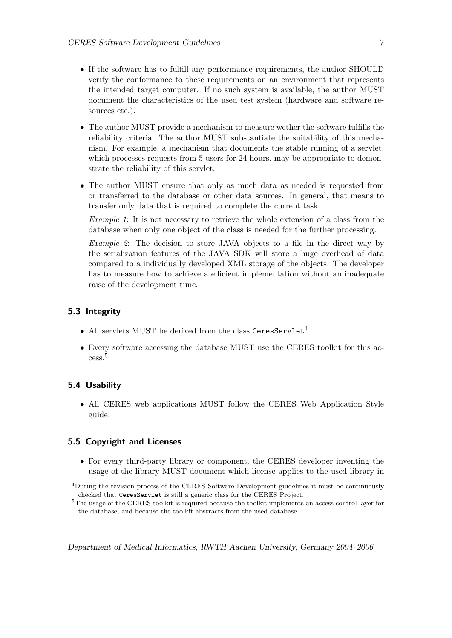- If the software has to fulfill any performance requirements, the author SHOULD verify the conformance to these requirements on an environment that represents the intended target computer. If no such system is available, the author MUST document the characteristics of the used test system (hardware and software resources etc.).
- The author MUST provide a mechanism to measure wether the software fulfills the reliability criteria. The author MUST substantiate the suitability of this mechanism. For example, a mechanism that documents the stable running of a servlet, which processes requests from 5 users for 24 hours, may be appropriate to demonstrate the reliability of this servlet.
- The author MUST ensure that only as much data as needed is requested from or transferred to the database or other data sources. In general, that means to transfer only data that is required to complete the current task.

Example 1: It is not necessary to retrieve the whole extension of a class from the database when only one object of the class is needed for the further processing.

Example 2: The decision to store JAVA objects to a file in the direct way by the serialization features of the JAVA SDK will store a huge overhead of data compared to a individually developed XML storage of the objects. The developer has to measure how to achieve a efficient implementation without an inadequate raise of the development time.

#### <span id="page-7-0"></span>5.3 Integrity

- All servlets MUST be derived from the class CeresServlet<sup>[4](#page-7-3)</sup>.
- Every software accessing the database MUST use the CERES toolkit for this access.[5](#page-7-4)

#### <span id="page-7-1"></span>5.4 Usability

• All CERES web applications MUST follow the CERES Web Application Style guide.

#### <span id="page-7-2"></span>5.5 Copyright and Licenses

• For every third-party library or component, the CERES developer inventing the usage of the library MUST document which license applies to the used library in

<span id="page-7-3"></span><sup>4</sup>During the revision process of the CERES Software Development guidelines it must be continuously checked that CeresServlet is still a generic class for the CERES Project.

<span id="page-7-4"></span><sup>&</sup>lt;sup>5</sup>The usage of the CERES toolkit is required because the toolkit implements an access control layer for the database, and because the toolkit abstracts from the used database.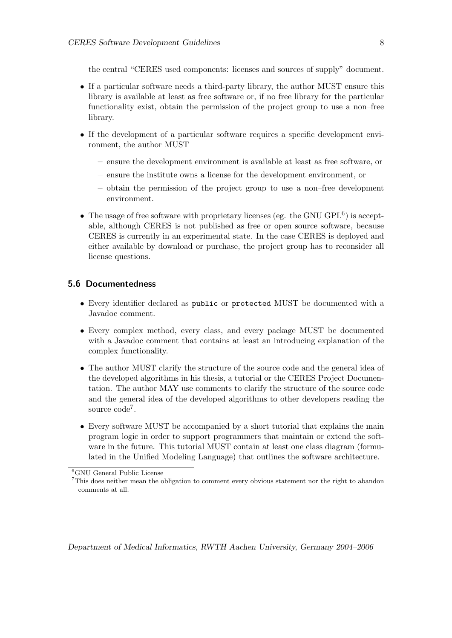the central "CERES used components: licenses and sources of supply" document.

- If a particular software needs a third-party library, the author MUST ensure this library is available at least as free software or, if no free library for the particular functionality exist, obtain the permission of the project group to use a non–free library.
- If the development of a particular software requires a specific development environment, the author MUST
	- ensure the development environment is available at least as free software, or
	- ensure the institute owns a license for the development environment, or
	- obtain the permission of the project group to use a non–free development environment.
- The usage of free software with proprietary licenses (eg. the GNU  $\text{GPL}^6$  $\text{GPL}^6$ ) is acceptable, although CERES is not published as free or open source software, because CERES is currently in an experimental state. In the case CERES is deployed and either available by download or purchase, the project group has to reconsider all license questions.

#### <span id="page-8-0"></span>5.6 Documentedness

- Every identifier declared as public or protected MUST be documented with a Javadoc comment.
- Every complex method, every class, and every package MUST be documented with a Javadoc comment that contains at least an introducing explanation of the complex functionality.
- The author MUST clarify the structure of the source code and the general idea of the developed algorithms in his thesis, a tutorial or the CERES Project Documentation. The author MAY use comments to clarify the structure of the source code and the general idea of the developed algorithms to other developers reading the source code<sup>[7](#page-8-2)</sup>.
- Every software MUST be accompanied by a short tutorial that explains the main program logic in order to support programmers that maintain or extend the software in the future. This tutorial MUST contain at least one class diagram (formulated in the Unified Modeling Language) that outlines the software architecture.

<span id="page-8-1"></span><sup>6</sup>GNU General Public License

<span id="page-8-2"></span><sup>7</sup>This does neither mean the obligation to comment every obvious statement nor the right to abandon comments at all.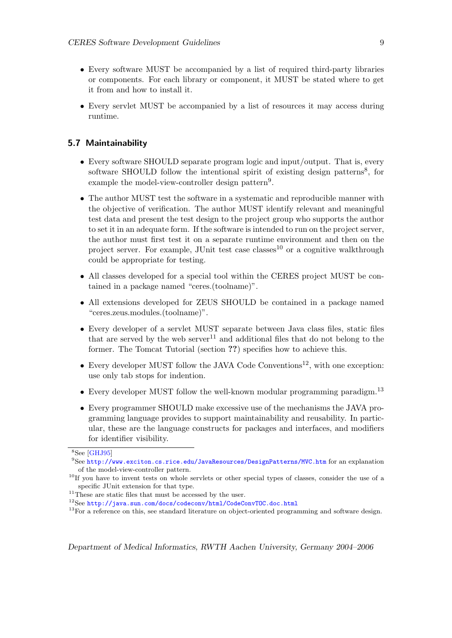- <span id="page-9-7"></span>• Every software MUST be accompanied by a list of required third-party libraries or components. For each library or component, it MUST be stated where to get it from and how to install it.
- Every servlet MUST be accompanied by a list of resources it may access during runtime.

#### <span id="page-9-0"></span>5.7 Maintainability

- Every software SHOULD separate program logic and input/output. That is, every software SHOULD follow the intentional spirit of existing design patterns<sup>[8](#page-9-1)</sup>, for example the model-view-controller design pattern<sup>[9](#page-9-2)</sup>.
- The author MUST test the software in a systematic and reproducible manner with the objective of verification. The author MUST identify relevant and meaningful test data and present the test design to the project group who supports the author to set it in an adequate form. If the software is intended to run on the project server, the author must first test it on a separate runtime environment and then on the project server. For example, JUnit test case classes<sup>[10](#page-9-3)</sup> or a cognitive walkthrough could be appropriate for testing.
- All classes developed for a special tool within the CERES project MUST be contained in a package named "ceres.(toolname)".
- All extensions developed for ZEUS SHOULD be contained in a package named "ceres.zeus.modules.(toolname)".
- Every developer of a servlet MUST separate between Java class files, static files that are served by the web  $server^{11}$  $server^{11}$  $server^{11}$  and additional files that do not belong to the former. The Tomcat Tutorial (section ??) specifies how to achieve this.
- Every developer MUST follow the JAVA Code Conventions<sup>[12](#page-9-5)</sup>, with one exception: use only tab stops for indention.
- Every developer MUST follow the well-known modular programming paradigm.<sup>[13](#page-9-6)</sup>
- Every programmer SHOULD make excessive use of the mechanisms the JAVA programming language provides to support maintainability and reusability. In particular, these are the language constructs for packages and interfaces, and modifiers for identifier visibility.

<span id="page-9-1"></span><sup>8</sup>See [\[GHJ95\]](#page-13-3)

<span id="page-9-2"></span><sup>9</sup>See <http://www.exciton.cs.rice.edu/JavaResources/DesignPatterns/MVC.htm> for an explanation of the model-view-controller pattern.

<span id="page-9-3"></span><sup>&</sup>lt;sup>10</sup>If you have to invent tests on whole servlets or other special types of classes, consider the use of a specific JUnit extension for that type.

<span id="page-9-4"></span><sup>&</sup>lt;sup>11</sup>These are static files that must be accessed by the user.

<span id="page-9-5"></span><sup>12</sup>See <http://java.sun.com/docs/codeconv/html/CodeConvTOC.doc.html>

<span id="page-9-6"></span><sup>&</sup>lt;sup>13</sup>For a reference on this, see standard literature on object-oriented programming and software design.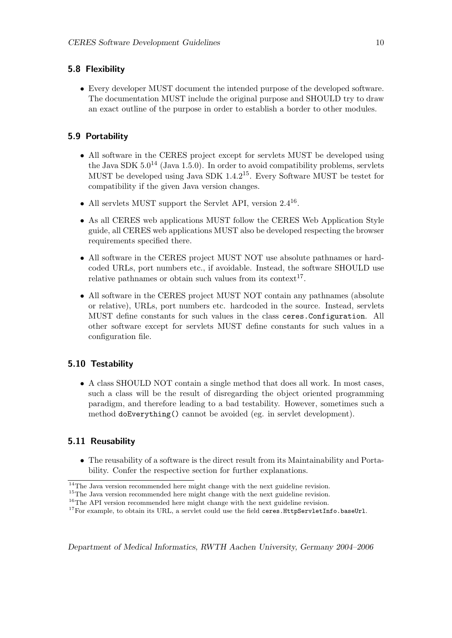#### <span id="page-10-0"></span>5.8 Flexibility

• Every developer MUST document the intended purpose of the developed software. The documentation MUST include the original purpose and SHOULD try to draw an exact outline of the purpose in order to establish a border to other modules.

#### <span id="page-10-1"></span>5.9 Portability

- All software in the CERES project except for servlets MUST be developed using the Java SDK  $5.0^{14}$  $5.0^{14}$  $5.0^{14}$  (Java 1.5.0). In order to avoid compatibility problems, servlets MUST be developed using Java SDK 1.4.2[15](#page-10-5). Every Software MUST be testet for compatibility if the given Java version changes.
- All servlets MUST support the Servlet API, version 2.4<sup>[16](#page-10-6)</sup>.
- As all CERES web applications MUST follow the CERES Web Application Style guide, all CERES web applications MUST also be developed respecting the browser requirements specified there.
- All software in the CERES project MUST NOT use absolute pathnames or hardcoded URLs, port numbers etc., if avoidable. Instead, the software SHOULD use relative pathnames or obtain such values from its context<sup>[17](#page-10-7)</sup>.
- All software in the CERES project MUST NOT contain any pathnames (absolute or relative), URLs, port numbers etc. hardcoded in the source. Instead, servlets MUST define constants for such values in the class ceres.Configuration. All other software except for servlets MUST define constants for such values in a configuration file.

#### <span id="page-10-2"></span>5.10 Testability

• A class SHOULD NOT contain a single method that does all work. In most cases, such a class will be the result of disregarding the object oriented programming paradigm, and therefore leading to a bad testability. However, sometimes such a method doEverything() cannot be avoided (eg. in servlet development).

#### <span id="page-10-3"></span>5.11 Reusability

• The reusability of a software is the direct result from its Maintainability and Portability. Confer the respective section for further explanations.

<span id="page-10-4"></span> $\frac{14}{14}$ The Java version recommended here might change with the next guideline revision.

<span id="page-10-5"></span> $^{15}\mathrm{The}$  Java version recommended here might change with the next guideline revision.

<span id="page-10-6"></span> $16$ The API version recommended here might change with the next guideline revision.

<span id="page-10-7"></span><sup>&</sup>lt;sup>17</sup>For example, to obtain its URL, a servlet could use the field ceres.HttpServletInfo.baseUrl.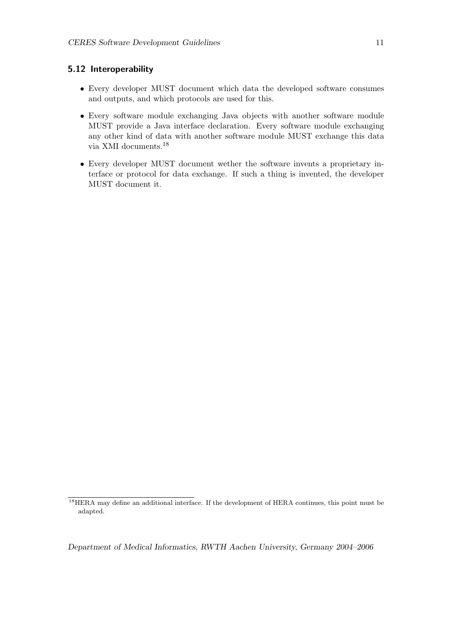#### <span id="page-11-0"></span>5.12 Interoperability

- Every developer MUST document which data the developed software consumes and outputs, and which protocols are used for this.
- Every software module exchanging Java objects with another software module MUST provide a Java interface declaration. Every software module exchanging any other kind of data with another software module MUST exchange this data via XMI documents.[18](#page-11-1)
- Every developer MUST document wether the software invents a proprietary interface or protocol for data exchange. If such a thing is invented, the developer MUST document it.

<span id="page-11-1"></span><sup>&</sup>lt;sup>18</sup>HERA may define an additional interface. If the development of HERA continues, this point must be adapted.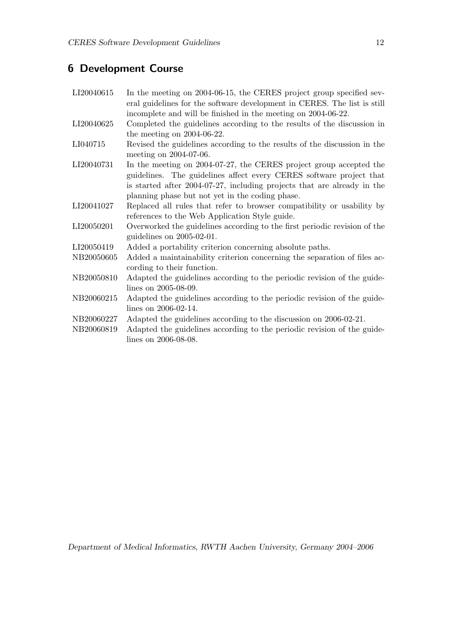## <span id="page-12-0"></span>6 Development Course

| LI20040615 | In the meeting on 2004-06-15, the CERES project group specified sev-<br>eral guidelines for the software development in CERES. The list is still |
|------------|--------------------------------------------------------------------------------------------------------------------------------------------------|
|            | incomplete and will be finished in the meeting on 2004-06-22.                                                                                    |
| LI20040625 | Completed the guidelines according to the results of the discussion in<br>the meeting on $2004-06-22$ .                                          |
|            |                                                                                                                                                  |
| LI040715   | Revised the guidelines according to the results of the discussion in the<br>meeting on 2004-07-06.                                               |
| LI20040731 | In the meeting on 2004-07-27, the CERES project group accepted the                                                                               |
|            | guidelines. The guidelines affect every CERES software project that                                                                              |
|            | is started after 2004-07-27, including projects that are already in the                                                                          |
|            | planning phase but not yet in the coding phase.                                                                                                  |
| LI20041027 | Replaced all rules that refer to browser compatibility or usability by                                                                           |
|            | references to the Web Application Style guide.                                                                                                   |
| LI20050201 | Overworked the guidelines according to the first periodic revision of the<br>guidelines on $2005-02-01$ .                                        |
| LI20050419 | Added a portability criterion concerning absolute paths.                                                                                         |
| NB20050605 | Added a maintainability criterion concerning the separation of files ac-<br>cording to their function.                                           |
| NB20050810 | Adapted the guidelines according to the periodic revision of the guide-                                                                          |
|            | lines on 2005-08-09.                                                                                                                             |
| NB20060215 | Adapted the guidelines according to the periodic revision of the guide-                                                                          |
|            | lines on 2006-02-14.                                                                                                                             |
| NB20060227 | Adapted the guidelines according to the discussion on 2006-02-21.                                                                                |
| NB20060819 | Adapted the guidelines according to the periodic revision of the guide-                                                                          |
|            | lines on 2006-08-08.                                                                                                                             |